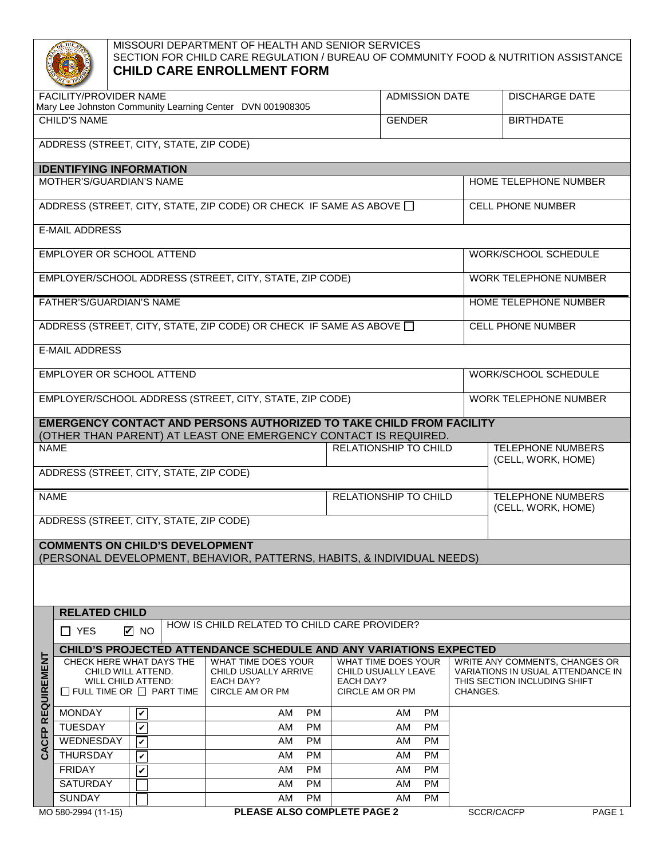## MISSOURI DEPARTMENT OF HEALTH AND SENIOR SERVICES SECTION FOR CHILD CARE REGULATION / BUREAU OF COMMUNITY FOOD & NUTRITION ASSISTANCE **CHILD CARE ENROLLMENT FORM**

| <b>FACILITY/PROVIDER NAME</b><br>Mary Lee Johnston Community Learning Center DVN 001908305                                                     |                                                                          |                         |                                                                        |                              | <b>ADMISSION DATE</b>                                                             |  | <b>DISCHARGE DATE</b>                                                                               |        |  |  |  |
|------------------------------------------------------------------------------------------------------------------------------------------------|--------------------------------------------------------------------------|-------------------------|------------------------------------------------------------------------|------------------------------|-----------------------------------------------------------------------------------|--|-----------------------------------------------------------------------------------------------------|--------|--|--|--|
| CHILD'S NAME                                                                                                                                   |                                                                          |                         |                                                                        |                              | <b>GENDER</b>                                                                     |  | <b>BIRTHDATE</b>                                                                                    |        |  |  |  |
| ADDRESS (STREET, CITY, STATE, ZIP CODE)                                                                                                        |                                                                          |                         |                                                                        |                              |                                                                                   |  |                                                                                                     |        |  |  |  |
| <b>IDENTIFYING INFORMATION</b>                                                                                                                 |                                                                          |                         |                                                                        |                              |                                                                                   |  |                                                                                                     |        |  |  |  |
|                                                                                                                                                | MOTHER'S/GUARDIAN'S NAME                                                 |                         |                                                                        | HOME TELEPHONE NUMBER        |                                                                                   |  |                                                                                                     |        |  |  |  |
| ADDRESS (STREET, CITY, STATE, ZIP CODE) OR CHECK IF SAME AS ABOVE O                                                                            |                                                                          |                         |                                                                        |                              |                                                                                   |  | <b>CELL PHONE NUMBER</b>                                                                            |        |  |  |  |
| <b>E-MAIL ADDRESS</b>                                                                                                                          |                                                                          |                         |                                                                        |                              |                                                                                   |  |                                                                                                     |        |  |  |  |
| EMPLOYER OR SCHOOL ATTEND                                                                                                                      |                                                                          |                         |                                                                        |                              | WORK/SCHOOL SCHEDULE                                                              |  |                                                                                                     |        |  |  |  |
| EMPLOYER/SCHOOL ADDRESS (STREET, CITY, STATE, ZIP CODE)                                                                                        |                                                                          |                         |                                                                        |                              |                                                                                   |  | WORK TELEPHONE NUMBER                                                                               |        |  |  |  |
| FATHER'S/GUARDIAN'S NAME                                                                                                                       |                                                                          |                         |                                                                        |                              |                                                                                   |  | HOME TELEPHONE NUMBER                                                                               |        |  |  |  |
| ADDRESS (STREET, CITY, STATE, ZIP CODE) OR CHECK IF SAME AS ABOVE $\Box$                                                                       |                                                                          |                         |                                                                        |                              |                                                                                   |  | <b>CELL PHONE NUMBER</b>                                                                            |        |  |  |  |
| <b>E-MAIL ADDRESS</b>                                                                                                                          |                                                                          |                         |                                                                        |                              |                                                                                   |  |                                                                                                     |        |  |  |  |
|                                                                                                                                                | EMPLOYER OR SCHOOL ATTEND                                                |                         |                                                                        | WORK/SCHOOL SCHEDULE         |                                                                                   |  |                                                                                                     |        |  |  |  |
| EMPLOYER/SCHOOL ADDRESS (STREET, CITY, STATE, ZIP CODE)                                                                                        |                                                                          |                         |                                                                        |                              |                                                                                   |  | WORK TELEPHONE NUMBER                                                                               |        |  |  |  |
| <b>EMERGENCY CONTACT AND PERSONS AUTHORIZED TO TAKE CHILD FROM FACILITY</b><br>(OTHER THAN PARENT) AT LEAST ONE EMERGENCY CONTACT IS REQUIRED. |                                                                          |                         |                                                                        |                              |                                                                                   |  |                                                                                                     |        |  |  |  |
| <b>NAME</b>                                                                                                                                    |                                                                          |                         |                                                                        | RELATIONSHIP TO CHILD        |                                                                                   |  | <b>TELEPHONE NUMBERS</b>                                                                            |        |  |  |  |
| ADDRESS (STREET, CITY, STATE, ZIP CODE)                                                                                                        |                                                                          |                         |                                                                        |                              |                                                                                   |  | (CELL, WORK, HOME)                                                                                  |        |  |  |  |
|                                                                                                                                                |                                                                          |                         |                                                                        |                              |                                                                                   |  |                                                                                                     |        |  |  |  |
| <b>NAME</b>                                                                                                                                    |                                                                          |                         |                                                                        | <b>RELATIONSHIP TO CHILD</b> |                                                                                   |  | <b>TELEPHONE NUMBERS</b><br>(CELL, WORK, HOME)                                                      |        |  |  |  |
| ADDRESS (STREET, CITY, STATE, ZIP CODE)                                                                                                        |                                                                          |                         |                                                                        |                              |                                                                                   |  |                                                                                                     |        |  |  |  |
|                                                                                                                                                | <b>COMMENTS ON CHILD'S DEVELOPMENT</b>                                   |                         | (PERSONAL DEVELOPMENT, BEHAVIOR, PATTERNS, HABITS, & INDIVIDUAL NEEDS) |                              |                                                                                   |  |                                                                                                     |        |  |  |  |
|                                                                                                                                                |                                                                          |                         |                                                                        |                              |                                                                                   |  |                                                                                                     |        |  |  |  |
|                                                                                                                                                |                                                                          |                         |                                                                        |                              |                                                                                   |  |                                                                                                     |        |  |  |  |
|                                                                                                                                                | <b>RELATED CHILD</b>                                                     |                         |                                                                        |                              |                                                                                   |  |                                                                                                     |        |  |  |  |
| HOW IS CHILD RELATED TO CHILD CARE PROVIDER?<br>$\blacksquare$ NO<br>$\Box$ YES                                                                |                                                                          |                         |                                                                        |                              |                                                                                   |  |                                                                                                     |        |  |  |  |
|                                                                                                                                                | <b>CHILD'S PROJECTED ATTENDANCE SCHEDULE AND ANY VARIATIONS EXPECTED</b> |                         |                                                                        |                              |                                                                                   |  |                                                                                                     |        |  |  |  |
| REQUIREMENT                                                                                                                                    | CHECK HERE WHAT DAYS THE                                                 |                         | WHAT TIME DOES YOUR                                                    |                              | WHAT TIME DOES YOUR<br>CHILD USUALLY LEAVE<br><b>EACH DAY?</b><br>CIRCLE AM OR PM |  | WRITE ANY COMMENTS, CHANGES OR<br>VARIATIONS IN USUAL ATTENDANCE IN<br>THIS SECTION INCLUDING SHIFT |        |  |  |  |
|                                                                                                                                                | CHILD WILL ATTEND.<br><b>WILL CHILD ATTEND:</b>                          |                         | CHILD USUALLY ARRIVE<br><b>EACH DAY?</b>                               |                              |                                                                                   |  |                                                                                                     |        |  |  |  |
|                                                                                                                                                | $\Box$ FULL TIME OR $\Box$ PART TIME                                     |                         | CIRCLE AM OR PM                                                        |                              |                                                                                   |  | CHANGES.                                                                                            |        |  |  |  |
|                                                                                                                                                | <b>MONDAY</b>                                                            | $\overline{\mathbf{v}}$ | <b>AM</b><br><b>PM</b>                                                 |                              | AM<br><b>PM</b>                                                                   |  |                                                                                                     |        |  |  |  |
|                                                                                                                                                | <b>TUESDAY</b>                                                           | $\mathbf v$             | <b>PM</b><br>AM                                                        |                              | <b>PM</b><br>AM                                                                   |  |                                                                                                     |        |  |  |  |
| CFP                                                                                                                                            | WEDNESDAY                                                                | V                       | <b>PM</b><br>AM                                                        |                              | <b>PM</b><br>AM                                                                   |  |                                                                                                     |        |  |  |  |
| Š                                                                                                                                              | <b>THURSDAY</b>                                                          | $\mathbf v$             | <b>PM</b><br><b>AM</b>                                                 |                              | <b>PM</b><br>AM                                                                   |  |                                                                                                     |        |  |  |  |
|                                                                                                                                                | <b>FRIDAY</b>                                                            | V                       | <b>PM</b><br>AM                                                        |                              | AM<br><b>PM</b>                                                                   |  |                                                                                                     |        |  |  |  |
|                                                                                                                                                | <b>SATURDAY</b>                                                          |                         | <b>PM</b><br>AM                                                        |                              | <b>PM</b><br>AM                                                                   |  |                                                                                                     |        |  |  |  |
|                                                                                                                                                | <b>SUNDAY</b>                                                            |                         | <b>PM</b><br>AM                                                        |                              | PM<br>AM                                                                          |  |                                                                                                     |        |  |  |  |
|                                                                                                                                                | MO 580-2994 (11-15)                                                      |                         | PLEASE ALSO COMPLETE PAGE 2                                            |                              |                                                                                   |  | SCCR/CACFP                                                                                          | PAGE 1 |  |  |  |